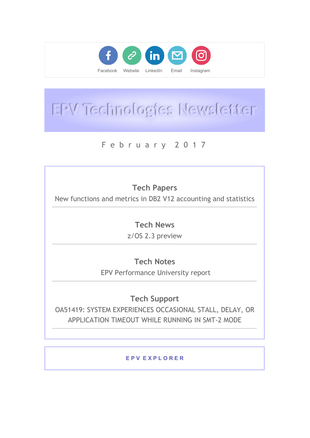

# EPV Technologies Newsletter

# F e b r u a r y 2017

# **Tech Papers**

New functions and metrics in DB2 V12 accounting and statistics

**Tech News**

z/OS 2.3 preview

**Tech Notes**

EPV Performance University report

**Tech Support**

OA51419: SYSTEM EXPERIENCES OCCASIONAL STALL, DELAY, OR APPLICATION TIMEOUT WHILE RUNNING IN SMT-2 MODE

# **E P V E X P L O R E R**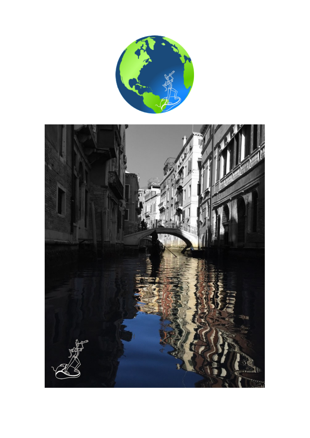

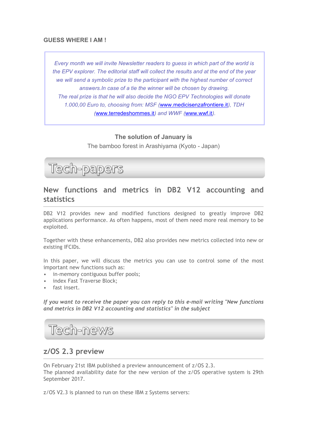#### **GUESS WHERE I AM !**

*Every month we will invite Newsletter readers to guess in which part of the world is the EPV explorer. The editorial staff will collect the results and at the end of the year we will send a symbolic prize to the participant with the highest number of correct answers.In case of a tie the winner will be chosen by drawing. The real prize is that he will also decide the NGO EPV Technologies will donate 1.000,00 Euro to, choosing from: MSF (*www.medicisenzafrontiere.it*), TDH (*www.terredeshommes.it*) and WWF (*www.wwf.it*).*

### **The solution of January is**

The bamboo forest in Arashiyama (Kyoto - Japan)



# **New functions and metrics in DB2 V12 accounting and statistics**

DB2 V12 provides new and modified functions designed to greatly improve DB2 applications performance. As often happens, most of them need more real memory to be exploited.

Together with these enhancements, DB2 also provides new metrics collected into new or existing IFCIDs.

In this paper, we will discuss the metrics you can use to control some of the most important new functions such as:

- in-memory contiguous buffer pools;
- index Fast Traverse Block;
- fast insert.

*If you want to receive the paper you can reply to this e-mail writing "New functions and metrics in DB2 V12 accounting and statistics" in the subject*

Tech-news

# **z/OS 2.3 preview**

On February 21st IBM published a preview announcement of z/OS 2.3. The planned availability date for the new version of the z/OS operative system is 29th September 2017.

z/OS V2.3 is planned to run on these IBM z Systems servers: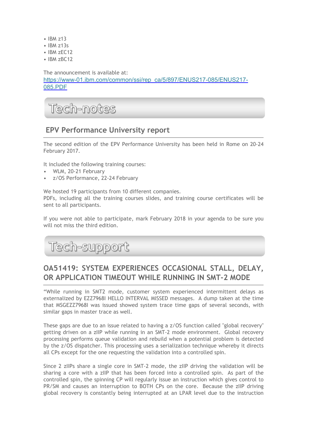- IBM z13
- IBM z13s
- IBM zEC12
- IBM zBC12

The announcement is available at: https://www-01.ibm.com/common/ssi/rep\_ca/5/897/ENUS217-085/ENUS217- 085.PDF



# **EPV Performance University report**

The second edition of the EPV Performance University has been held in Rome on 20-24 February 2017.

It included the following training courses:

- WLM, 20-21 February
- z/OS Performance, 22-24 February

We hosted 19 participants from 10 different companies.

PDFs, including all the training courses slides, and training course certificates will be sent to all participants.

If you were not able to participate, mark February 2018 in your agenda to be sure you will not miss the third edition.

Tech-support

# **OA51419: SYSTEM EXPERIENCES OCCASIONAL STALL, DELAY, OR APPLICATION TIMEOUT WHILE RUNNING IN SMT-2 MODE**

"While running in SMT2 mode, customer system experienced intermittent delays as externalized by EZZ7968I HELLO INTERVAL MISSED messages. A dump taken at the time that MSGEZZ7968I was issued showed system trace time gaps of several seconds, with similar gaps in master trace as well.

These gaps are due to an issue related to having a z/OS function called "global recovery" getting driven on a zIIP while running in an SMT-2 mode environment. Global recovery processing performs queue validation and rebuild when a potential problem is detected by the z/OS dispatcher. This processing uses a serialization technique whereby it directs all CPs except for the one requesting the validation into a controlled spin.

Since 2 zIIPs share a single core in SMT-2 mode, the zIIP driving the validation will be sharing a core with a zIIP that has been forced into a controlled spin. As part of the controlled spin, the spinning CP will regularly issue an instruction which gives control to PR/SM and causes an interruption to BOTH CPs on the core. Because the zIIP driving global recovery is constantly being interrupted at an LPAR level due to the instruction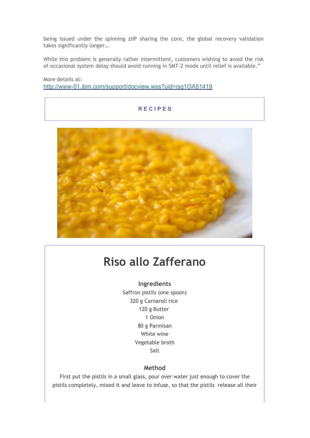being issued under the spinning zIIP sharing the core, the global recovery validation takes significantly longer…

While this problem is generally rather intermittent, customers wishing to avoid the risk of occasional system delay should avoid running in SMT-2 mode until relief is available."

More details at: http://www-01.ibm.com/support/docview.wss?uid=isg1OA51419

#### **R E C I P E S**



# **Riso allo Zafferano**

#### **Ingredients**

Saffron pistils (one spoon) 320 g Carnaroli rice 120 g Butter 1 Onion 80 g Parmisan White wine Vegetable broth Salt

#### **Method**

First put the pistils in a small glass, pour over water just enough to cover the pistils completely, mixed it and leave to infuse, so that the pistils release all their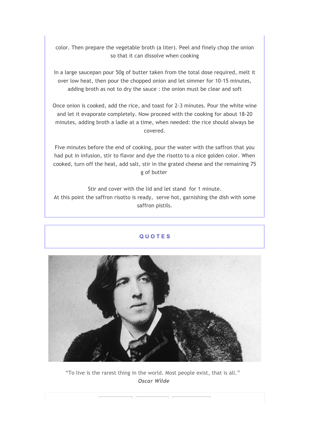color. Then prepare the vegetable broth (a liter). Peel and finely chop the onion so that it can dissolve when cooking

In a large saucepan pour 50g of butter taken from the total dose required, melt it over low heat, then pour the chopped onion and let simmer for 10-15 minutes, adding broth as not to dry the sauce : the onion must be clear and soft

Once onion is cooked, add the rice, and toast for 2-3 minutes. Pour the white wine and let it evaporate completely. Now proceed with the cooking for about 18-20 minutes, adding broth a ladle at a time, when needed: the rice should always be covered.

Five minutes before the end of cooking, pour the water with the saffron that you had put in infusion, stir to flavor and dye the risotto to a nice golden color. When cooked, turn off the heat, add salt, stir in the grated cheese and the remaining 75 g of butter

Stir and cover with the lid and let stand for 1 minute. At this point the saffron risotto is ready, serve hot, garnishing the dish with some saffron pistils.

# **Q U O T E S**



"To live is the rarest thing in the world. Most people exist, that is all." *Oscar Wilde*